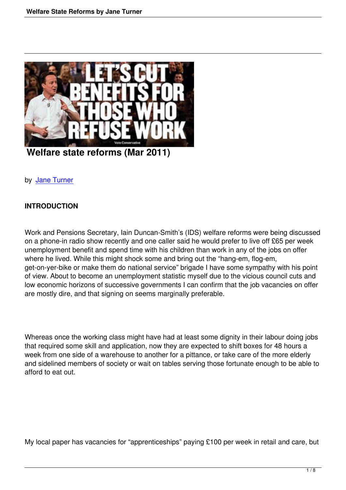

# by Jane Turner

# **IN[TRODUCTION](people.html#jane-turner)**

Work and Pensions Secretary, Iain Duncan-Smith's (IDS) welfare reforms were being discussed on a phone-in radio show recently and one caller said he would prefer to live off £65 per week unemployment benefit and spend time with his children than work in any of the jobs on offer where he lived. While this might shock some and bring out the "hang-em, flog-em, get-on-yer-bike or make them do national service" brigade I have some sympathy with his point of view. About to become an unemployment statistic myself due to the vicious council cuts and low economic horizons of successive governments I can confirm that the job vacancies on offer are mostly dire, and that signing on seems marginally preferable.

Whereas once the working class might have had at least some dignity in their labour doing jobs that required some skill and application, now they are expected to shift boxes for 48 hours a week from one side of a warehouse to another for a pittance, or take care of the more elderly and sidelined members of society or wait on tables serving those fortunate enough to be able to afford to eat out.

My local paper has vacancies for "apprenticeships" paying £100 per week in retail and care, but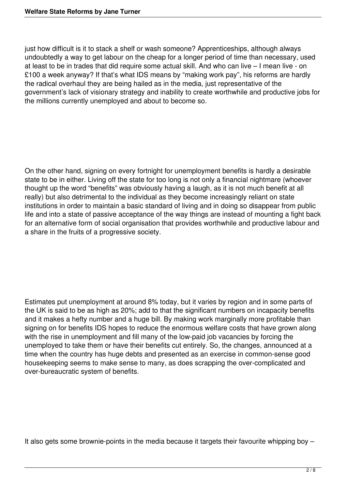just how difficult is it to stack a shelf or wash someone? Apprenticeships, although always undoubtedly a way to get labour on the cheap for a longer period of time than necessary, used at least to be in trades that did require some actual skill. And who can live – I mean live - on £100 a week anyway? If that's what IDS means by "making work pay", his reforms are hardly the radical overhaul they are being hailed as in the media, just representative of the government's lack of visionary strategy and inability to create worthwhile and productive jobs for the millions currently unemployed and about to become so.

On the other hand, signing on every fortnight for unemployment benefits is hardly a desirable state to be in either. Living off the state for too long is not only a financial nightmare (whoever thought up the word "benefits" was obviously having a laugh, as it is not much benefit at all really) but also detrimental to the individual as they become increasingly reliant on state institutions in order to maintain a basic standard of living and in doing so disappear from public life and into a state of passive acceptance of the way things are instead of mounting a fight back for an alternative form of social organisation that provides worthwhile and productive labour and a share in the fruits of a progressive society.

Estimates put unemployment at around 8% today, but it varies by region and in some parts of the UK is said to be as high as 20%; add to that the significant numbers on incapacity benefits and it makes a hefty number and a huge bill. By making work marginally more profitable than signing on for benefits IDS hopes to reduce the enormous welfare costs that have grown along with the rise in unemployment and fill many of the low-paid job vacancies by forcing the unemployed to take them or have their benefits cut entirely. So, the changes, announced at a time when the country has huge debts and presented as an exercise in common-sense good housekeeping seems to make sense to many, as does scrapping the over-complicated and over-bureaucratic system of benefits.

It also gets some brownie-points in the media because it targets their favourite whipping boy -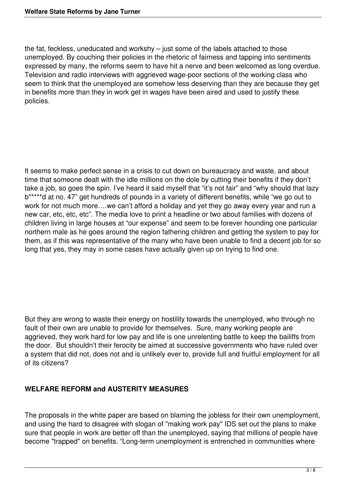the fat, feckless, uneducated and workshy – just some of the labels attached to those unemployed. By couching their policies in the rhetoric of fairness and tapping into sentiments expressed by many, the reforms seem to have hit a nerve and been welcomed as long overdue. Television and radio interviews with aggrieved wage-poor sections of the working class who seem to think that the unemployed are somehow less deserving than they are because they get in benefits more than they in work get in wages have been aired and used to justify these policies.

It seems to make perfect sense in a crisis to cut down on bureaucracy and waste, and about time that someone dealt with the idle millions on the dole by cutting their benefits if they don't take a job, so goes the spin. I've heard it said myself that "it's not fair" and "why should that lazy b\*\*\*\*\*d at no. 47" get hundreds of pounds in a variety of different benefits, while "we go out to work for not much more….we can't afford a holiday and yet they go away every year and run a new car, etc, etc, etc". The media love to print a headline or two about families with dozens of children living in large houses at "our expense" and seem to be forever hounding one particular northern male as he goes around the region fathering children and getting the system to pay for them, as if this was representative of the many who have been unable to find a decent job for so long that yes, they may in some cases have actually given up on trying to find one.

But they are wrong to waste their energy on hostility towards the unemployed, who through no fault of their own are unable to provide for themselves. Sure, many working people are aggrieved, they work hard for low pay and life is one unrelenting battle to keep the bailiffs from the door. But shouldn't their ferocity be aimed at successive governments who have ruled over a system that did not, does not and is unlikely ever to, provide full and fruitful employment for all of its citizens?

## **WELFARE REFORM and AUSTERITY MEASURES**

The proposals in the white paper are based on blaming the jobless for their own unemployment, and using the hard to disagree with slogan of "making work pay" IDS set out the plans to make sure that people in work are better off than the unemployed, saying that millions of people have become "trapped" on benefits. "Long-term unemployment is entrenched in communities where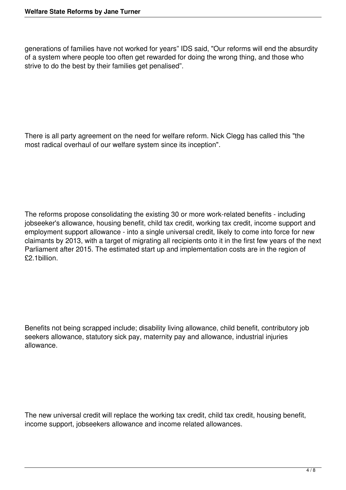generations of families have not worked for years" IDS said, "Our reforms will end the absurdity of a system where people too often get rewarded for doing the wrong thing, and those who strive to do the best by their families get penalised".

There is all party agreement on the need for welfare reform. Nick Clegg has called this "the most radical overhaul of our welfare system since its inception".

The reforms propose consolidating the existing 30 or more work-related benefits - including jobseeker's allowance, housing benefit, child tax credit, working tax credit, income support and employment support allowance - into a single universal credit, likely to come into force for new claimants by 2013, with a target of migrating all recipients onto it in the first few years of the next Parliament after 2015. The estimated start up and implementation costs are in the region of £2.1billion.

Benefits not being scrapped include; disability living allowance, child benefit, contributory job seekers allowance, statutory sick pay, maternity pay and allowance, industrial injuries allowance.

The new universal credit will replace the working tax credit, child tax credit, housing benefit, income support, jobseekers allowance and income related allowances.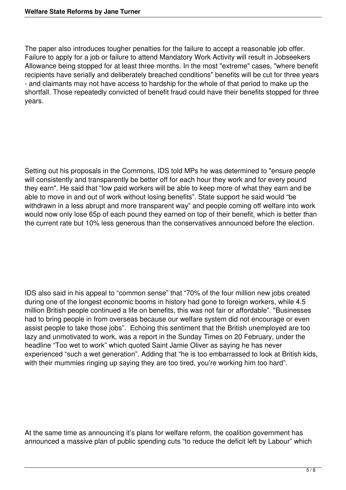The paper also introduces tougher penalties for the failure to accept a reasonable job offer. Failure to apply for a job or failure to attend Mandatory Work Activity will result in Jobseekers Allowance being stopped for at least three months. In the most "extreme" cases, "where benefit recipients have serially and deliberately breached conditions" benefits will be cut for three years - and claimants may not have access to hardship for the whole of that period to make up the shortfall. Those repeatedly convicted of benefit fraud could have their benefits stopped for three years.

Setting out his proposals in the Commons, IDS told MPs he was determined to "ensure people will consistently and transparently be better off for each hour they work and for every pound they earn". He said that "low paid workers will be able to keep more of what they earn and be able to move in and out of work without losing benefits". State support he said would "be withdrawn in a less abrupt and more transparent way" and people coming off welfare into work would now only lose 65p of each pound they earned on top of their benefit, which is better than the current rate but 10% less generous than the conservatives announced before the election.

IDS also said in his appeal to "common sense" that "70% of the four million new jobs created during one of the longest economic booms in history had gone to foreign workers, while 4.5 million British people continued a life on benefits, this was not fair or affordable". "Businesses had to bring people in from overseas because our welfare system did not encourage or even assist people to take those jobs". Echoing this sentiment that the British unemployed are too lazy and unmotivated to work, was a report in the Sunday Times on 20 February, under the headline "Too wet to work" which quoted Saint Jamie Oliver as saying he has never experienced "such a wet generation". Adding that "he is too embarrassed to look at British kids, with their mummies ringing up saying they are too tired, you're working him too hard".

At the same time as announcing it's plans for welfare reform, the coalition government has announced a massive plan of public spending cuts "to reduce the deficit left by Labour" which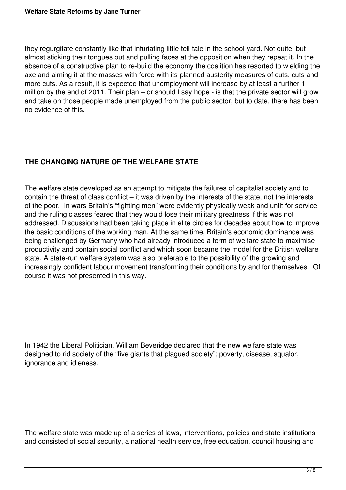they regurgitate constantly like that infuriating little tell-tale in the school-yard. Not quite, but almost sticking their tongues out and pulling faces at the opposition when they repeat it. In the absence of a constructive plan to re-build the economy the coalition has resorted to wielding the axe and aiming it at the masses with force with its planned austerity measures of cuts, cuts and more cuts. As a result, it is expected that unemployment will increase by at least a further 1 million by the end of 2011. Their plan – or should I say hope - is that the private sector will grow and take on those people made unemployed from the public sector, but to date, there has been no evidence of this.

## **THE CHANGING NATURE OF THE WELFARE STATE**

The welfare state developed as an attempt to mitigate the failures of capitalist society and to contain the threat of class conflict – it was driven by the interests of the state, not the interests of the poor. In wars Britain's "fighting men" were evidently physically weak and unfit for service and the ruling classes feared that they would lose their military greatness if this was not addressed. Discussions had been taking place in elite circles for decades about how to improve the basic conditions of the working man. At the same time, Britain's economic dominance was being challenged by Germany who had already introduced a form of welfare state to maximise productivity and contain social conflict and which soon became the model for the British welfare state. A state-run welfare system was also preferable to the possibility of the growing and increasingly confident labour movement transforming their conditions by and for themselves. Of course it was not presented in this way.

In 1942 the Liberal Politician, William Beveridge declared that the new welfare state was designed to rid society of the "five giants that plagued society"; poverty, disease, squalor, ignorance and idleness.

The welfare state was made up of a series of laws, interventions, policies and state institutions and consisted of social security, a national health service, free education, council housing and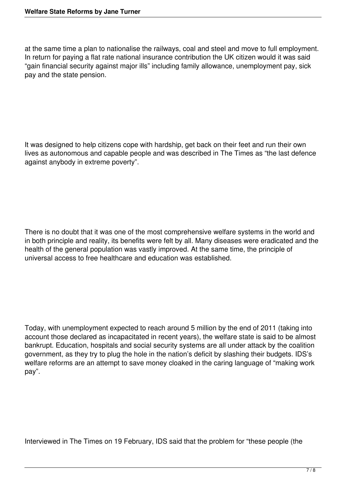at the same time a plan to nationalise the railways, coal and steel and move to full employment. In return for paying a flat rate national insurance contribution the UK citizen would it was said "gain financial security against major ills" including family allowance, unemployment pay, sick pay and the state pension.

It was designed to help citizens cope with hardship, get back on their feet and run their own lives as autonomous and capable people and was described in The Times as "the last defence against anybody in extreme poverty".

There is no doubt that it was one of the most comprehensive welfare systems in the world and in both principle and reality, its benefits were felt by all. Many diseases were eradicated and the health of the general population was vastly improved. At the same time, the principle of universal access to free healthcare and education was established.

Today, with unemployment expected to reach around 5 million by the end of 2011 (taking into account those declared as incapacitated in recent years), the welfare state is said to be almost bankrupt. Education, hospitals and social security systems are all under attack by the coalition government, as they try to plug the hole in the nation's deficit by slashing their budgets. IDS's welfare reforms are an attempt to save money cloaked in the caring language of "making work" pay".

Interviewed in The Times on 19 February, IDS said that the problem for "these people (the